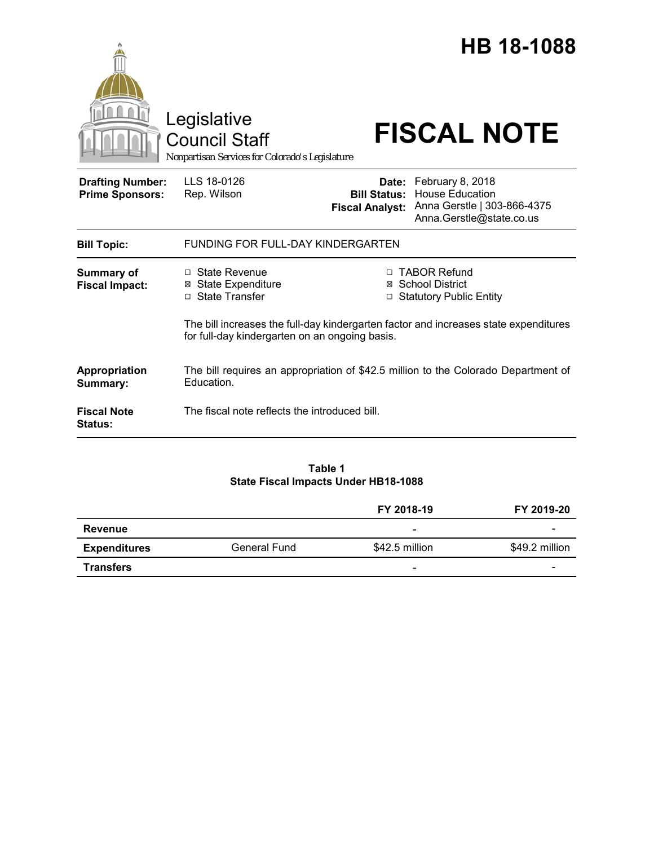|                                                   | Legislative<br><b>Council Staff</b><br>Nonpartisan Services for Colorado's Legislature           |                                                                                                                                                                    | HB 18-1088<br><b>FISCAL NOTE</b>                                                                            |  |
|---------------------------------------------------|--------------------------------------------------------------------------------------------------|--------------------------------------------------------------------------------------------------------------------------------------------------------------------|-------------------------------------------------------------------------------------------------------------|--|
| <b>Drafting Number:</b><br><b>Prime Sponsors:</b> | LLS 18-0126<br>Rep. Wilson                                                                       | <b>Bill Status:</b><br><b>Fiscal Analyst:</b>                                                                                                                      | Date: February 8, 2018<br><b>House Education</b><br>Anna Gerstle   303-866-4375<br>Anna.Gerstle@state.co.us |  |
| <b>Bill Topic:</b>                                | FUNDING FOR FULL-DAY KINDERGARTEN                                                                |                                                                                                                                                                    |                                                                                                             |  |
| <b>Summary of</b><br><b>Fiscal Impact:</b>        | □ State Revenue<br><b>State Expenditure</b><br>⊠<br>□ State Transfer                             | □ TABOR Refund<br><b>School District</b><br>⊠<br>□ Statutory Public Entity<br>The bill increases the full-day kindergarten factor and increases state expenditures |                                                                                                             |  |
|                                                   | for full-day kindergarten on an ongoing basis.                                                   |                                                                                                                                                                    |                                                                                                             |  |
| Appropriation<br>Summary:                         | The bill requires an appropriation of \$42.5 million to the Colorado Department of<br>Education. |                                                                                                                                                                    |                                                                                                             |  |
| <b>Fiscal Note</b><br>Status:                     | The fiscal note reflects the introduced bill.                                                    |                                                                                                                                                                    |                                                                                                             |  |
|                                                   |                                                                                                  |                                                                                                                                                                    |                                                                                                             |  |

## **Table 1 State Fiscal Impacts Under HB18-1088**

|                     |                     | FY 2018-19               | FY 2019-20     |
|---------------------|---------------------|--------------------------|----------------|
| Revenue             |                     | ۰                        |                |
| <b>Expenditures</b> | <b>General Fund</b> | \$42.5 million           | \$49.2 million |
| <b>Transfers</b>    |                     | $\overline{\phantom{0}}$ | -              |